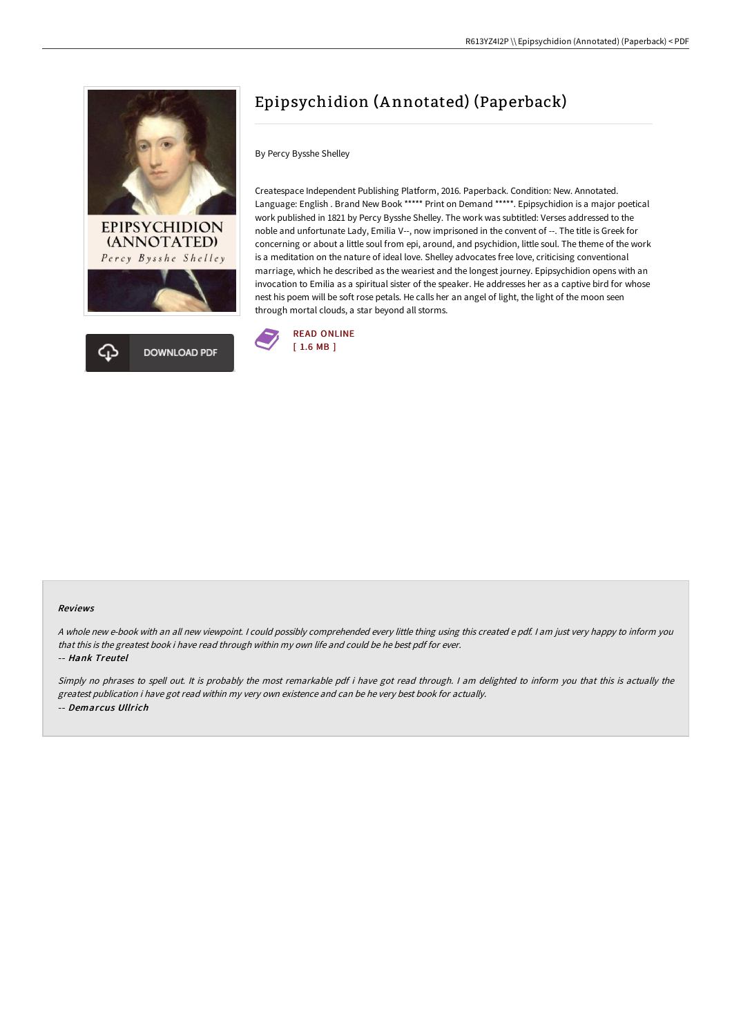



## Epipsychidion (A nnotated) (Paperback)

By Percy Bysshe Shelley

Createspace Independent Publishing Platform, 2016. Paperback. Condition: New. Annotated. Language: English . Brand New Book \*\*\*\*\* Print on Demand \*\*\*\*\*. Epipsychidion is a major poetical work published in 1821 by Percy Bysshe Shelley. The work was subtitled: Verses addressed to the noble and unfortunate Lady, Emilia V--, now imprisoned in the convent of --. The title is Greek for concerning or about a little soul from epi, around, and psychidion, little soul. The theme of the work is a meditation on the nature of ideal love. Shelley advocates free love, criticising conventional marriage, which he described as the weariest and the longest journey. Epipsychidion opens with an invocation to Emilia as a spiritual sister of the speaker. He addresses her as a captive bird for whose nest his poem will be soft rose petals. He calls her an angel of light, the light of the moon seen through mortal clouds, a star beyond all storms.



## Reviews

<sup>A</sup> whole new e-book with an all new viewpoint. <sup>I</sup> could possibly comprehended every little thing using this created <sup>e</sup> pdf. <sup>I</sup> am just very happy to inform you that this is the greatest book i have read through within my own life and could be he best pdf for ever.

-- Hank Treutel

Simply no phrases to spell out. It is probably the most remarkable pdf i have got read through. <sup>I</sup> am delighted to inform you that this is actually the greatest publication i have got read within my very own existence and can be he very best book for actually. -- Demarcus Ullrich